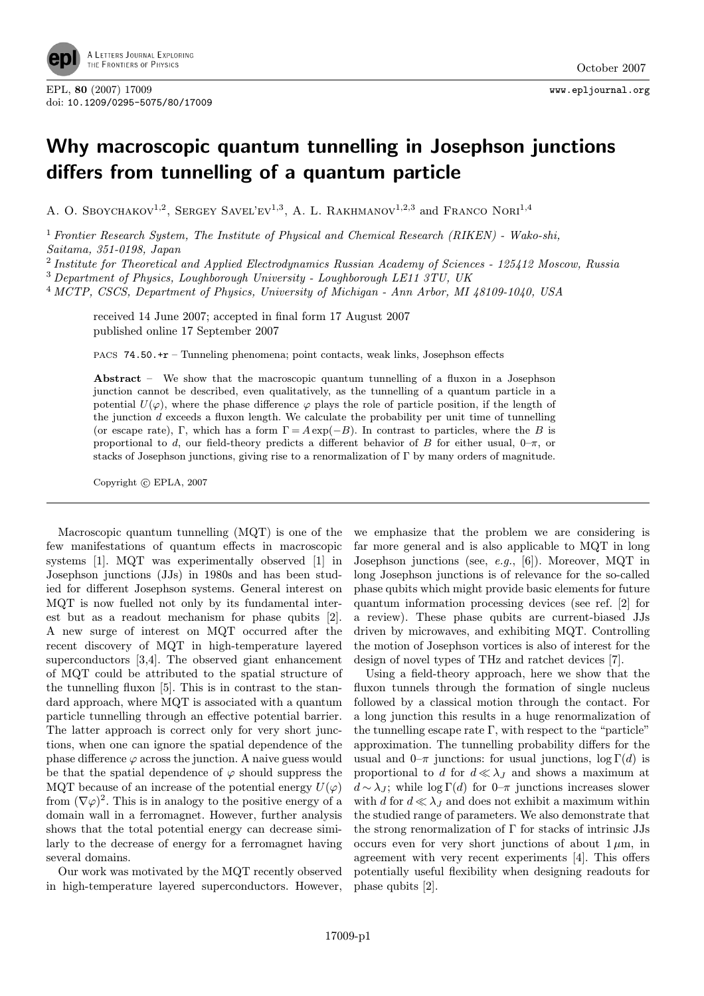

## Why macroscopic quantum tunnelling in Josephson junctions differs from tunnelling of a quantum particle

A. O. SBOYCHAKOV<sup>1,2</sup>, SERGEY SAVEL'EV<sup>1,3</sup>, A. L. RAKHMANOV<sup>1,2,3</sup> and FRANCO NORI<sup>1,4</sup>

<sup>1</sup> Frontier Research System, The Institute of Physical and Chemical Research (RIKEN) - Wako-shi, Saitama, 351-0198, Japan

<sup>2</sup> Institute for Theoretical and Applied Electrodynamics Russian Academy of Sciences - 125412 Moscow, Russia

<sup>3</sup> Department of Physics, Loughborough University - Loughborough LE11 3TU, UK

<sup>4</sup> MCTP, CSCS, Department of Physics, University of Michigan - Ann Arbor, MI 48109-1040, USA

received 14 June 2007; accepted in final form 17 August 2007 published online 17 September 2007

PACS 74.50.+r – Tunneling phenomena; point contacts, weak links, Josephson effects

Abstract – We show that the macroscopic quantum tunnelling of a fluxon in a Josephson junction cannot be described, even qualitatively, as the tunnelling of a quantum particle in a potential  $U(\varphi)$ , where the phase difference  $\varphi$  plays the role of particle position, if the length of the junction  $d$  exceeds a fluxon length. We calculate the probability per unit time of tunnelling (or escape rate), Γ, which has a form  $\Gamma = A \exp(-B)$ . In contrast to particles, where the B is proportional to d, our field-theory predicts a different behavior of B for either usual,  $0-\pi$ , or stacks of Josephson junctions, giving rise to a renormalization of Γ by many orders of magnitude.

Copyright  $\odot$  EPLA, 2007

Macroscopic quantum tunnelling (MQT) is one of the few manifestations of quantum effects in macroscopic systems [1]. MQT was experimentally observed [1] in Josephson junctions (JJs) in 1980s and has been studied for different Josephson systems. General interest on MQT is now fuelled not only by its fundamental interest but as a readout mechanism for phase qubits [2]. A new surge of interest on MQT occurred after the recent discovery of MQT in high-temperature layered superconductors [3,4]. The observed giant enhancement of MQT could be attributed to the spatial structure of the tunnelling fluxon [5]. This is in contrast to the standard approach, where MQT is associated with a quantum particle tunnelling through an effective potential barrier. The latter approach is correct only for very short junctions, when one can ignore the spatial dependence of the phase difference  $\varphi$  across the junction. A naive guess would be that the spatial dependence of  $\varphi$  should suppress the MQT because of an increase of the potential energy  $U(\varphi)$ from  $(\nabla \varphi)^2$ . This is in analogy to the positive energy of a domain wall in a ferromagnet. However, further analysis shows that the total potential energy can decrease similarly to the decrease of energy for a ferromagnet having several domains.

Our work was motivated by the MQT recently observed in high-temperature layered superconductors. However,

we emphasize that the problem we are considering is far more general and is also applicable to MQT in long Josephson junctions (see, e.g., [6]). Moreover, MQT in long Josephson junctions is of relevance for the so-called phase qubits which might provide basic elements for future quantum information processing devices (see ref. [2] for a review). These phase qubits are current-biased JJs driven by microwaves, and exhibiting MQT. Controlling the motion of Josephson vortices is also of interest for the design of novel types of THz and ratchet devices [7].

Using a field-theory approach, here we show that the fluxon tunnels through the formation of single nucleus followed by a classical motion through the contact. For a long junction this results in a huge renormalization of the tunnelling escape rate  $\Gamma$ , with respect to the "particle" approximation. The tunnelling probability differs for the usual and  $0-\pi$  junctions: for usual junctions,  $\log \Gamma(d)$  is proportional to d for  $d \ll \lambda_J$  and shows a maximum at  $d \sim \lambda_J$ ; while log Γ(d) for 0–π junctions increases slower with d for  $d \ll \lambda_J$  and does not exhibit a maximum within the studied range of parameters. We also demonstrate that the strong renormalization of  $\Gamma$  for stacks of intrinsic JJs occurs even for very short junctions of about  $1 \mu m$ , in agreement with very recent experiments [4]. This offers potentially useful flexibility when designing readouts for phase qubits [2].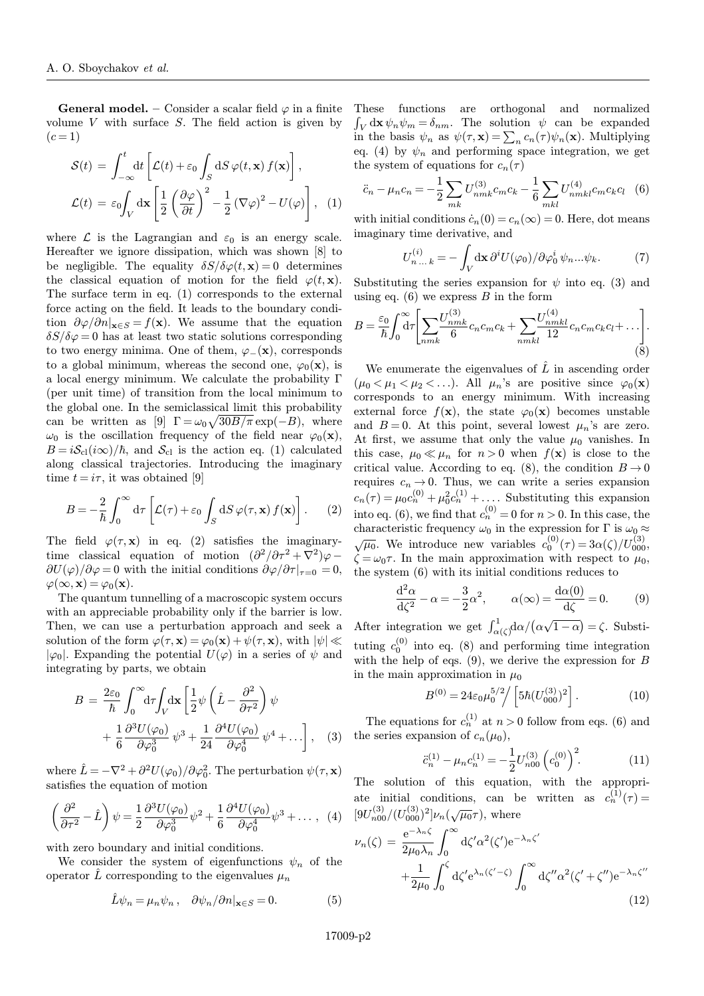**General model.** – Consider a scalar field  $\varphi$  in a finite volume  $V$  with surface  $S$ . The field action is given by  $(c = 1)$ 

$$
\mathcal{S}(t) = \int_{-\infty}^{t} dt \left[ \mathcal{L}(t) + \varepsilon_0 \int_S dS \, \varphi(t, \mathbf{x}) f(\mathbf{x}) \right],
$$

$$
\mathcal{L}(t) = \varepsilon_0 \int_V d\mathbf{x} \left[ \frac{1}{2} \left( \frac{\partial \varphi}{\partial t} \right)^2 - \frac{1}{2} \left( \nabla \varphi \right)^2 - U(\varphi) \right], \quad (1)
$$

where  $\mathcal L$  is the Lagrangian and  $\varepsilon_0$  is an energy scale. Hereafter we ignore dissipation, which was shown [8] to be negligible. The equality  $\delta S/\delta \varphi(t, \mathbf{x}) = 0$  determines the classical equation of motion for the field  $\varphi(t, \mathbf{x})$ . The surface term in eq. (1) corresponds to the external force acting on the field. It leads to the boundary condition  $\partial \varphi / \partial n |_{\mathbf{x} \in S} = f(\mathbf{x})$ . We assume that the equation  $\delta S/\delta \varphi = 0$  has at least two static solutions corresponding to two energy minima. One of them,  $\varphi$ <sub>−</sub>(**x**), corresponds to a global minimum, whereas the second one,  $\varphi_0(\mathbf{x})$ , is a local energy minimum. We calculate the probability Γ (per unit time) of transition from the local minimum to the global one. In the semiclassical limit this probability can be written as [9]  $\Gamma = \omega_0 \sqrt{30B/\pi} \exp(-B)$ , where  $\omega_0$  is the oscillation frequency of the field near  $\varphi_0(\mathbf{x}),$  $B = iS_{\text{cl}}(i\infty)/\hbar$ , and  $S_{\text{cl}}$  is the action eq. (1) calculated along classical trajectories. Introducing the imaginary time  $t = i\tau$ , it was obtained [9]

$$
B = -\frac{2}{\hbar} \int_0^\infty d\tau \left[ \mathcal{L}(\tau) + \varepsilon_0 \int_S dS \, \varphi(\tau, \mathbf{x}) \, f(\mathbf{x}) \right]. \tag{2}
$$

The field  $\varphi(\tau, \mathbf{x})$  in eq. (2) satisfies the imaginarytime classical equation of motion  $(\partial^2/\partial \tau^2 + \nabla^2)\varphi$  $\frac{\partial U(\varphi)}{\partial \varphi} = 0$  with the initial conditions  $\frac{\partial \varphi}{\partial \tau}\big|_{\tau=0} = 0$ ,  $\varphi(\infty, \mathbf{x}) = \varphi_0(\mathbf{x}).$ 

The quantum tunnelling of a macroscopic system occurs with an appreciable probability only if the barrier is low. Then, we can use a perturbation approach and seek a solution of the form  $\varphi(\tau, \mathbf{x}) = \varphi_0(\mathbf{x}) + \psi(\tau, \mathbf{x})$ , with  $|\psi| \ll$  $|\varphi_0|$ . Expanding the potential  $U(\varphi)$  in a series of  $\psi$  and integrating by parts, we obtain

$$
B = \frac{2\varepsilon_0}{\hbar} \int_0^\infty d\tau \int_V d\mathbf{x} \left[ \frac{1}{2} \psi \left( \hat{L} - \frac{\partial^2}{\partial \tau^2} \right) \psi + \frac{1}{6} \frac{\partial^3 U(\varphi_0)}{\partial \varphi_0^3} \psi^3 + \frac{1}{24} \frac{\partial^4 U(\varphi_0)}{\partial \varphi_0^4} \psi^4 + \ldots \right], \quad (3)
$$

where  $\hat{L} = -\nabla^2 + \partial^2 U(\varphi_0) / \partial \varphi_0^2$ . The perturbation  $\psi(\tau, \mathbf{x})$ satisfies the equation of motion

$$
\left(\frac{\partial^2}{\partial \tau^2} - \hat{L}\right)\psi = \frac{1}{2}\frac{\partial^3 U(\varphi_0)}{\partial \varphi_0^3}\psi^2 + \frac{1}{6}\frac{\partial^4 U(\varphi_0)}{\partial \varphi_0^4}\psi^3 + \dots \,, \tag{4}
$$

with zero boundary and initial conditions.

We consider the system of eigenfunctions  $\psi_n$  of the operator  $\hat{L}$  corresponding to the eigenvalues  $\mu_n$ 

$$
\hat{L}\psi_n = \mu_n \psi_n \,, \quad \partial \psi_n / \partial n|_{\mathbf{x} \in S} = 0. \tag{5}
$$

These functions are orthogonal and normalized  $\int_V d\mathbf{x} \psi_n \psi_m = \delta_{nm}$ . The solution  $\psi$  can be expanded in the basis  $\psi_n$  as  $\psi(\tau, \mathbf{x}) = \sum_n c_n(\tau) \psi_n(\mathbf{x})$ . Multiplying eq. (4) by  $\psi_n$  and performing space integration, we get the system of equations for  $c_n(\tau)$ 

$$
\ddot{c}_n - \mu_n c_n = -\frac{1}{2} \sum_{mk} U_{nmk}^{(3)} c_m c_k - \frac{1}{6} \sum_{mkl} U_{nmkl}^{(4)} c_m c_k c_l \quad (6)
$$

with initial conditions  $\dot{c}_n(0) = c_n(\infty) = 0$ . Here, dot means imaginary time derivative, and

$$
U_{n...k}^{(i)} = -\int_{V} d\mathbf{x} \,\partial^{i} U(\varphi_{0}) / \partial \varphi_{0}^{i} \,\psi_{n}...\psi_{k}.\tag{7}
$$

Substituting the series expansion for  $\psi$  into eq. (3) and using eq.  $(6)$  we express B in the form

$$
B = \frac{\varepsilon_0}{\hbar} \int_0^\infty d\tau \left[ \sum_{nmk} \frac{U_{nmk}^{(3)}}{6} c_n c_m c_k + \sum_{nmkl} \frac{U_{nmkl}^{(4)}}{12} c_n c_m c_k c_l + \dots \right].
$$
\n(8)

We enumerate the eigenvalues of  $\hat{L}$  in ascending order  $(\mu_0 < \mu_1 < \mu_2 < \ldots)$ . All  $\mu_n$ 's are positive since  $\varphi_0(\mathbf{x})$ corresponds to an energy minimum. With increasing external force  $f(\mathbf{x})$ , the state  $\varphi_0(\mathbf{x})$  becomes unstable and  $B = 0$ . At this point, several lowest  $\mu_n$ 's are zero. At first, we assume that only the value  $\mu_0$  vanishes. In this case,  $\mu_0 \ll \mu_n$  for  $n > 0$  when  $f(\mathbf{x})$  is close to the critical value. According to eq. (8), the condition  $B \to 0$ requires  $c_n \to 0$ . Thus, we can write a series expansion  $c_n(\tau) = \mu_0 c_n^{(0)} + \mu_0^2 c_n^{(1)} + \dots$ . Substituting this expansion into eq. (6), we find that  $c_n^{(0)} = 0$  for  $n > 0$ . In this case, the characteristic frequency  $\omega_0$  in the expression for  $\Gamma$  is  $\omega_0 \approx \sqrt{\mu_0}$ . We introduce new variables  $c_0^{(0)}(\tau) = 3\alpha(\zeta)/U_{000}^{(3)}$ ,  $\zeta = \omega_0 \tau$ . In the main approximation with respect to  $\mu_0$ , the system (6) with its initial conditions reduces to

$$
\frac{\mathrm{d}^2 \alpha}{\mathrm{d}\zeta^2} - \alpha = -\frac{3}{2}\alpha^2, \qquad \alpha(\infty) = \frac{\mathrm{d}\alpha(0)}{\mathrm{d}\zeta} = 0. \tag{9}
$$

After integration we get  $\int_{\alpha(\zeta)}^1 d\alpha/(\alpha\sqrt{1-\alpha}) = \zeta$ . Substituting  $c_0^{(0)}$  into eq. (8) and performing time integration with the help of eqs.  $(9)$ , we derive the expression for B in the main approximation in  $\mu_0$ 

$$
B^{(0)} = 24\varepsilon_0 \mu_0^{5/2} / \left[ 5\hbar (U_{000}^{(3)})^2 \right].
$$
 (10)

The equations for  $c_n^{(1)}$  at  $n > 0$  follow from eqs. (6) and the series expansion of  $c_n(\mu_0)$ ,

$$
\ddot{c}_n^{(1)} - \mu_n c_n^{(1)} = -\frac{1}{2} U_{n00}^{(3)} \left( c_0^{(0)} \right)^2.
$$
 (11)

The solution of this equation, with the appropriate initial conditions, can be written as  $c_n^{(1)}(\tau) =$  $[9U_{n00}^{(3)}/(U_{000}^{(3)})^2]\nu_n(\sqrt{\mu_0}\tau)$ , where

$$
\nu_n(\zeta) = \frac{e^{-\lambda_n \zeta}}{2\mu_0 \lambda_n} \int_0^\infty d\zeta' \alpha^2(\zeta') e^{-\lambda_n \zeta'}
$$

$$
+ \frac{1}{2\mu_0} \int_0^\zeta d\zeta' e^{\lambda_n(\zeta' - \zeta)} \int_0^\infty d\zeta'' \alpha^2(\zeta' + \zeta'') e^{-\lambda_n \zeta''}
$$
(12)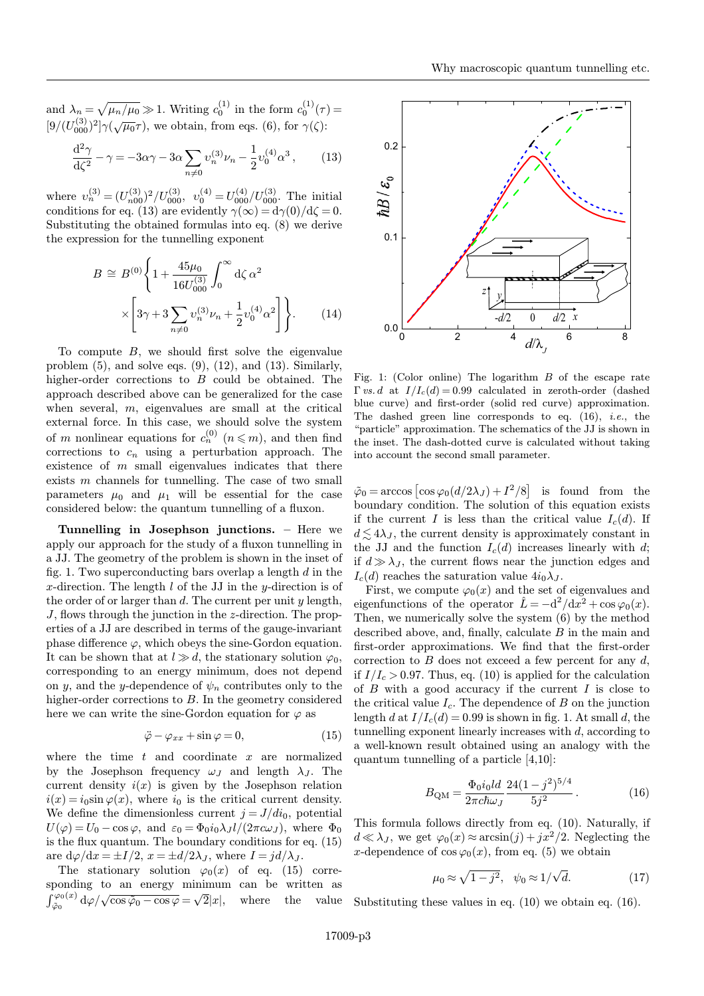and  $\lambda_n = \sqrt{\mu_n/\mu_0} \gg 1$ . Writing  $c_0^{(1)}$  in the form  $c_0^{(1)}(\tau) =$  $[9/(U_{000}^{(3)})^2]\gamma(\sqrt{\mu_0}\tau)$ , we obtain, from eqs. (6), for  $\gamma(\zeta)$ :

$$
\frac{\mathrm{d}^2 \gamma}{\mathrm{d}\zeta^2} - \gamma = -3\alpha\gamma - 3\alpha \sum_{n \neq 0} v_n^{(3)} \nu_n - \frac{1}{2} v_0^{(4)} \alpha^3 ,\qquad(13)
$$

where  $v_n^{(3)} = (U_{n00}^{(3)})^2 / U_{000}^{(3)}$ ,  $v_0^{(4)} = U_{000}^{(4)} / U_{000}^{(3)}$ . The initial conditions for eq. (13) are evidently  $\gamma(\infty)=d\gamma(0)/d\zeta=0$ . Substituting the obtained formulas into eq. (8) we derive the expression for the tunnelling exponent

$$
B \cong B^{(0)} \left\{ 1 + \frac{45\mu_0}{16U_{000}^{(3)}} \int_0^\infty d\zeta \, \alpha^2 \right\} \times \left[ 3\gamma + 3 \sum_{n \neq 0} v_n^{(3)} \nu_n + \frac{1}{2} v_0^{(4)} \alpha^2 \right] \right\}.
$$
 (14)

To compute  $B$ , we should first solve the eigenvalue problem  $(5)$ , and solve eqs.  $(9)$ ,  $(12)$ , and  $(13)$ . Similarly, higher-order corrections to B could be obtained. The approach described above can be generalized for the case when several,  $m$ , eigenvalues are small at the critical external force. In this case, we should solve the system of m nonlinear equations for  $c_n^{(0)}$   $(n \leq m)$ , and then find corrections to  $c_n$  using a perturbation approach. The existence of  $m$  small eigenvalues indicates that there exists m channels for tunnelling. The case of two small parameters  $\mu_0$  and  $\mu_1$  will be essential for the case considered below: the quantum tunnelling of a fluxon.

Tunnelling in Josephson junctions. – Here we apply our approach for the study of a fluxon tunnelling in a JJ. The geometry of the problem is shown in the inset of fig. 1. Two superconducting bars overlap a length  $d$  in the x-direction. The length  $l$  of the JJ in the y-direction is of the order of or larger than  $d$ . The current per unit  $y$  length, J, flows through the junction in the z-direction. The properties of a JJ are described in terms of the gauge-invariant phase difference  $\varphi$ , which obeys the sine-Gordon equation. It can be shown that at  $l \gg d$ , the stationary solution  $\varphi_0$ . corresponding to an energy minimum, does not depend on y, and the y-dependence of  $\psi_n$  contributes only to the higher-order corrections to B. In the geometry considered here we can write the sine-Gordon equation for  $\varphi$  as

$$
\ddot{\varphi} - \varphi_{xx} + \sin \varphi = 0, \qquad (15)
$$

where the time  $t$  and coordinate  $x$  are normalized by the Josephson frequency  $\omega_J$  and length  $\lambda_J$ . The current density  $i(x)$  is given by the Josephson relation  $i(x) = i_0 \sin \varphi(x)$ , where  $i_0$  is the critical current density. We define the dimensionless current  $j = J/di_0$ , potential  $U(\varphi) = U_0 - \cos \varphi$ , and  $\varepsilon_0 = \Phi_0 i_0 \lambda_J l/(2\pi c \omega_J)$ , where  $\Phi_0$ is the flux quantum. The boundary conditions for eq. (15) are  $d\varphi/dx = \pm I/2$ ,  $x = \pm d/2\lambda_I$ , where  $I = \frac{d}{\lambda_I}$ .

The stationary solution  $\varphi_0(x)$  of eq. (15) corresponding to an energy minimum can be written as  $\int_{\tilde{\varphi}_0}^{\varphi_0(x)} d\varphi / \sqrt{\cos \tilde{\varphi}_0 - \cos \varphi} = \sqrt{2}|x|$ , where the value



Fig. 1: (Color online) The logarithm  $B$  of the escape rate  $\Gamma$  vs. d at  $I/I_c(d)=0.99$  calculated in zeroth-order (dashed blue curve) and first-order (solid red curve) approximation. The dashed green line corresponds to eq.  $(16)$ , *i.e.*, the "particle" approximation. The schematics of the JJ is shown in the inset. The dash-dotted curve is calculated without taking into account the second small parameter.

 $\tilde{\varphi}_0 = \arccos \left[ \cos \varphi_0 (d/2\lambda_J) + I^2/8 \right]$  is found from the boundary condition. The solution of this equation exists if the current I is less than the critical value  $I_c(d)$ . If  $d \lesssim 4\lambda_J$ , the current density is approximately constant in the JJ and the function  $I_c(d)$  increases linearly with d; if  $d \gg \lambda_J$ , the current flows near the junction edges and  $I_c(d)$  reaches the saturation value  $4i_0\lambda_J$ .

First, we compute  $\varphi_0(x)$  and the set of eigenvalues and eigenfunctions of the operator  $\hat{L} = -d^2/dx^2 + \cos \varphi_0(x)$ . Then, we numerically solve the system (6) by the method described above, and, finally, calculate B in the main and first-order approximations. We find that the first-order correction to  $B$  does not exceed a few percent for any  $d$ . if  $I/I_c > 0.97$ . Thus, eq. (10) is applied for the calculation of  $B$  with a good accuracy if the current  $I$  is close to the critical value  $I_c$ . The dependence of B on the junction length d at  $I/I_c(d)=0.99$  is shown in fig. 1. At small d, the tunnelling exponent linearly increases with  $d$ , according to a well-known result obtained using an analogy with the quantum tunnelling of a particle [4,10]:

$$
B_{\rm QM} = \frac{\Phi_0 i_0 l d}{2\pi c \hbar \omega_J} \frac{24(1-j^2)^{5/4}}{5j^2} \,. \tag{16}
$$

This formula follows directly from eq. (10). Naturally, if  $d \ll \lambda_J$ , we get  $\varphi_0(x) \approx \arcsin(j) + jx^2/2$ . Neglecting the x-dependence of  $\cos \varphi_0(x)$ , from eq. (5) we obtain

$$
\mu_0 \approx \sqrt{1 - j^2}, \quad \psi_0 \approx 1/\sqrt{d}.\tag{17}
$$

Substituting these values in eq. (10) we obtain eq. (16).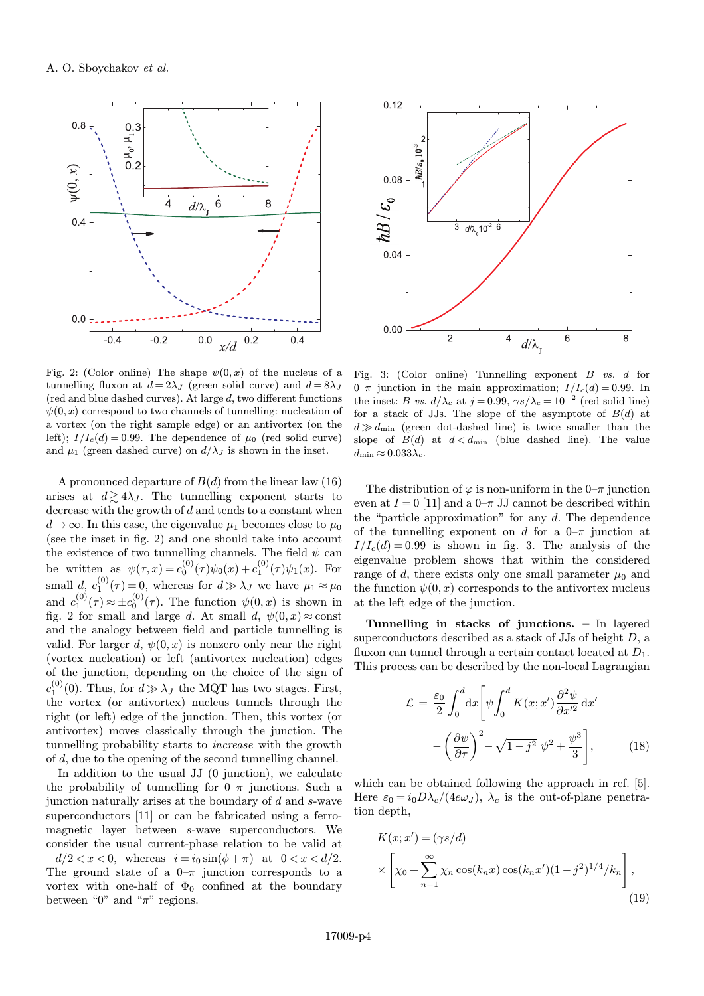

Fig. 2: (Color online) The shape  $\psi(0, x)$  of the nucleus of a tunnelling fluxon at  $d = 2\lambda_J$  (green solid curve) and  $d = 8\lambda_J$  $(\text{red and blue dashed curves}).$  At large d, two different functions  $\psi(0, x)$  correspond to two channels of tunnelling: nucleation of a vortex (on the right sample edge) or an antivortex (on the left);  $I/I_c(d) = 0.99$ . The dependence of  $\mu_0$  (red solid curve) and  $\mu_1$  (green dashed curve) on  $d/\lambda_J$  is shown in the inset.

A pronounced departure of  $B(d)$  from the linear law (16) arises at  $d \gtrsim 4\lambda_J$ . The tunnelling exponent starts to decrease with the growth of  $d$  and tends to a constant when  $d \rightarrow \infty$ . In this case, the eigenvalue  $\mu_1$  becomes close to  $\mu_0$ (see the inset in fig. 2) and one should take into account the existence of two tunnelling channels. The field  $\psi$  can be written as  $\psi(\tau, x) = c_0^{(0)}(\tau)\psi_0(x) + c_1^{(0)}(\tau)\psi_1(x)$ . For small  $d, c_1^{(0)}(\tau) = 0$ , whereas for  $d \gg \lambda_J$  we have  $\mu_1 \approx \mu_0$ and  $c_1^{(0)}(\tau) \approx \pm c_0^{(0)}(\tau)$ . The function  $\psi(0, x)$  is shown in fig. 2 for small and large d. At small d,  $\psi(0, x) \approx$  const and the analogy between field and particle tunnelling is valid. For larger d,  $\psi(0, x)$  is nonzero only near the right (vortex nucleation) or left (antivortex nucleation) edges of the junction, depending on the choice of the sign of  $c_1^{(0)}(0)$ . Thus, for  $d \gg \lambda_J$  the MQT has two stages. First, the vortex (or antivortex) nucleus tunnels through the right (or left) edge of the junction. Then, this vortex (or antivortex) moves classically through the junction. The tunnelling probability starts to increase with the growth of d, due to the opening of the second tunnelling channel.

In addition to the usual JJ (0 junction), we calculate the probability of tunnelling for  $0-\pi$  junctions. Such a junction naturally arises at the boundary of d and s-wave superconductors [11] or can be fabricated using a ferromagnetic layer between s-wave superconductors. We consider the usual current-phase relation to be valid at  $-d/2 < x < 0$ , whereas  $i = i_0 \sin(\phi + \pi)$  at  $0 < x < d/2$ . The ground state of a  $0-\pi$  junction corresponds to a vortex with one-half of  $\Phi_0$  confined at the boundary between "0" and " $\pi$ " regions.



Fig. 3: (Color online) Tunnelling exponent B vs. d for  $0-\pi$  junction in the main approximation;  $I/I_c(d)=0.99$ . In the inset: B vs.  $d/\lambda_c$  at  $j = 0.99$ ,  $\gamma s/\lambda_c = 10^{-2}$  (red solid line) for a stack of JJs. The slope of the asymptote of  $B(d)$  at  $d \gg d_{\text{min}}$  (green dot-dashed line) is twice smaller than the slope of  $B(d)$  at  $d < d_{\min}$  (blue dashed line). The value  $d_{\text{min}} \approx 0.033 \lambda_c$ .

The distribution of  $\varphi$  is non-uniform in the 0–π junction even at  $I = 0$  [11] and a  $0-\pi$  JJ cannot be described within the "particle approximation" for any  $d$ . The dependence of the tunnelling exponent on d for a  $0-\pi$  junction at  $I/I_c(d)=0.99$  is shown in fig. 3. The analysis of the eigenvalue problem shows that within the considered range of d, there exists only one small parameter  $\mu_0$  and the function  $\psi(0, x)$  corresponds to the antivortex nucleus at the left edge of the junction.

Tunnelling in stacks of junctions. – In layered superconductors described as a stack of JJs of height  $D$ , a fluxon can tunnel through a certain contact located at  $D_1$ . This process can be described by the non-local Lagrangian

$$
\mathcal{L} = \frac{\varepsilon_0}{2} \int_0^d dx \left[ \psi \int_0^d K(x; x') \frac{\partial^2 \psi}{\partial x'^2} dx' - \left( \frac{\partial \psi}{\partial \tau} \right)^2 - \sqrt{1 - j^2} \psi^2 + \frac{\psi^3}{3} \right],
$$
(18)

which can be obtained following the approach in ref. [5]. Here  $\varepsilon_0 = i_0 D\lambda_c/(4e\omega_J)$ ,  $\lambda_c$  is the out-of-plane penetration depth,

$$
K(x; x') = (\gamma s/d)
$$
  
 
$$
\times \left[ \chi_0 + \sum_{n=1}^{\infty} \chi_n \cos(k_n x) \cos(k_n x')(1 - j^2)^{1/4} / k_n \right],
$$
  
(19)